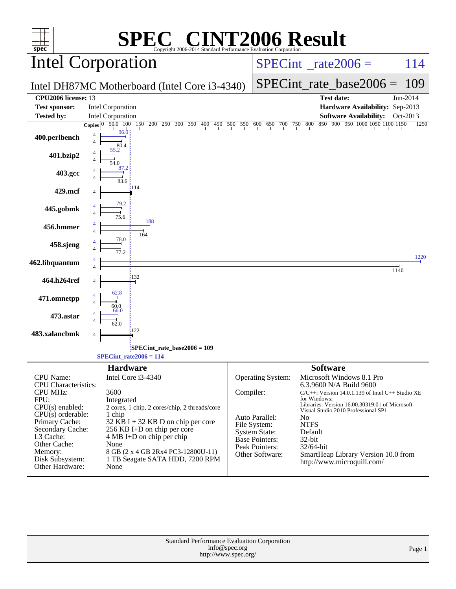|                                                | <b>EC® CINT2006 Result</b>                                                                                                                         |           |                                          |                               |                                                                                  |              |
|------------------------------------------------|----------------------------------------------------------------------------------------------------------------------------------------------------|-----------|------------------------------------------|-------------------------------|----------------------------------------------------------------------------------|--------------|
| $spec^*$                                       | Copyright 2006-2014 Standard Performance Evaluation Corporation<br>Intel Corporation                                                               |           | $SPECint^{\circ}$ <sub>_rate2006</sub> = |                               |                                                                                  | 114          |
|                                                | Intel DH87MC Motherboard (Intel Core i3-4340)                                                                                                      |           |                                          | $SPECint_rate_base2006 =$     | 109                                                                              |              |
| CPU2006 license: 13                            |                                                                                                                                                    |           |                                          |                               | <b>Test date:</b>                                                                | Jun-2014     |
| <b>Test sponsor:</b>                           | <b>Intel Corporation</b>                                                                                                                           |           |                                          |                               | Hardware Availability: Sep-2013                                                  |              |
| <b>Tested by:</b>                              | Intel Corporation                                                                                                                                  |           |                                          |                               | <b>Software Availability:</b>                                                    | Oct-2013     |
| 400.perlbench                                  | $50.0$ $100$ $150$ $200$ $250$ $300$ $350$ $400$ $450$ $500$ $550$ $600$ $650$ $700$ $750$ $800$<br>Copies $ 0 $<br>96.0<br>$\overline{4}$<br>80.4 |           |                                          |                               | 850 900 950 1000 1050 1100 1150                                                  | 1250         |
| 401.bzip2                                      | 55.2                                                                                                                                               |           |                                          |                               |                                                                                  |              |
| 403.gcc                                        | 87.2                                                                                                                                               |           |                                          |                               |                                                                                  |              |
| 429.mcf                                        | 114                                                                                                                                                |           |                                          |                               |                                                                                  |              |
| 445.gobmk                                      | 79.2                                                                                                                                               |           |                                          |                               |                                                                                  |              |
| 456.hmmer                                      | 188<br>164                                                                                                                                         |           |                                          |                               |                                                                                  |              |
| 458.sjeng                                      | 78.0                                                                                                                                               |           |                                          |                               |                                                                                  |              |
| 462.libquantum                                 |                                                                                                                                                    |           |                                          |                               |                                                                                  | 1220<br>1140 |
| 464.h264ref                                    | 132<br>62.8                                                                                                                                        |           |                                          |                               |                                                                                  |              |
| 471.omnetpp                                    | 66.0                                                                                                                                               |           |                                          |                               |                                                                                  |              |
| 473.astar                                      | 122                                                                                                                                                |           |                                          |                               |                                                                                  |              |
| 483.xalancbmk                                  | 4                                                                                                                                                  |           |                                          |                               |                                                                                  |              |
|                                                | SPECint_rate_base2006 = 109<br>$SPECint_rate2006 = 114$                                                                                            |           |                                          |                               |                                                                                  |              |
|                                                | <b>Hardware</b>                                                                                                                                    |           |                                          | <b>Software</b>               |                                                                                  |              |
| CPU Name:                                      | Intel Core i3-4340                                                                                                                                 |           | <b>Operating System:</b>                 |                               | Microsoft Windows 8.1 Pro                                                        |              |
| <b>CPU</b> Characteristics:<br><b>CPU MHz:</b> | 3600                                                                                                                                               | Compiler: |                                          |                               | 6.3.9600 N/A Build 9600<br>$C/C++$ : Version 14.0.1.139 of Intel $C++$ Studio XE |              |
| FPU:                                           | Integrated                                                                                                                                         |           |                                          | for Windows:                  | Libraries: Version 16.00.30319.01 of Microsoft                                   |              |
| $CPU(s)$ enabled:<br>$CPU(s)$ orderable:       | 2 cores, 1 chip, 2 cores/chip, 2 threads/core<br>1 chip                                                                                            |           |                                          |                               | Visual Studio 2010 Professional SP1                                              |              |
| Primary Cache:                                 | $32$ KB I + 32 KB D on chip per core                                                                                                               |           | Auto Parallel:<br>File System:           | N <sub>0</sub><br><b>NTFS</b> |                                                                                  |              |
| Secondary Cache:<br>L3 Cache:                  | 256 KB I+D on chip per core<br>4 MB I+D on chip per chip                                                                                           |           | <b>System State:</b>                     | Default                       |                                                                                  |              |
| Other Cache:                                   | None                                                                                                                                               |           | Base Pointers:<br>Peak Pointers:         | 32-bit<br>32/64-bit           |                                                                                  |              |
| Memory:<br>Disk Subsystem:                     | 8 GB (2 x 4 GB 2Rx4 PC3-12800U-11)<br>1 TB Seagate SATA HDD, 7200 RPM                                                                              |           | Other Software:                          |                               | SmartHeap Library Version 10.0 from                                              |              |
| Other Hardware:                                | None                                                                                                                                               |           |                                          |                               | http://www.microquill.com/                                                       |              |
|                                                |                                                                                                                                                    |           |                                          |                               |                                                                                  |              |
|                                                | Standard Performance Evaluation Corporation<br>info@spec.org                                                                                       |           |                                          |                               |                                                                                  | Page 1       |
|                                                | http://www.spec.org/                                                                                                                               |           |                                          |                               |                                                                                  |              |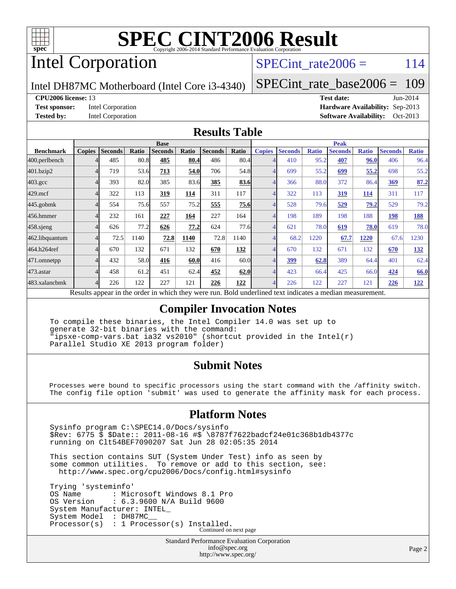

# Intel Corporation

### SPECint rate $2006 = 114$

Intel DH87MC Motherboard (Intel Core i3-4340)

[SPECint\\_rate\\_base2006 =](http://www.spec.org/auto/cpu2006/Docs/result-fields.html#SPECintratebase2006) 109

#### **[CPU2006 license:](http://www.spec.org/auto/cpu2006/Docs/result-fields.html#CPU2006license)** 13 **[Test date:](http://www.spec.org/auto/cpu2006/Docs/result-fields.html#Testdate)** Jun-2014

**[Test sponsor:](http://www.spec.org/auto/cpu2006/Docs/result-fields.html#Testsponsor)** Intel Corporation **[Hardware Availability:](http://www.spec.org/auto/cpu2006/Docs/result-fields.html#HardwareAvailability)** Sep-2013 **[Tested by:](http://www.spec.org/auto/cpu2006/Docs/result-fields.html#Testedby)** Intel Corporation **[Software Availability:](http://www.spec.org/auto/cpu2006/Docs/result-fields.html#SoftwareAvailability)** Oct-2013

#### **[Results Table](http://www.spec.org/auto/cpu2006/Docs/result-fields.html#ResultsTable)**

|                                                                            | <b>Base</b>                            |                |       |                |       |                | <b>Peak</b> |               |                |              |                |              |                |              |
|----------------------------------------------------------------------------|----------------------------------------|----------------|-------|----------------|-------|----------------|-------------|---------------|----------------|--------------|----------------|--------------|----------------|--------------|
| <b>Benchmark</b>                                                           | <b>Copies</b>                          | <b>Seconds</b> | Ratio | <b>Seconds</b> | Ratio | <b>Seconds</b> | Ratio       | <b>Copies</b> | <b>Seconds</b> | <b>Ratio</b> | <b>Seconds</b> | <b>Ratio</b> | <b>Seconds</b> | <b>Ratio</b> |
| 400.perlbench                                                              |                                        | 485            | 80.8  | 485            | 80.4  | 486            | 80.4        |               | 410            | 95.2         | 407            | 96.0         | 406            | 96.4         |
| 401.bzip2                                                                  |                                        | 719            | 53.6  | 713            | 54.0  | 706            | 54.8        |               | 699            | 55.2         | 699            | 55,2         | 698            | 55.2         |
| $403.\mathrm{gcc}$                                                         |                                        | 393            | 82.0  | 385            | 83.6  | 385            | 83.6        |               | 366            | 88.0         | 372            | 86.4         | <u>369</u>     | 87.2         |
| $429$ .mcf                                                                 |                                        | 322            | 113   | 319            | 114   | 311            | 117         |               | 322            | 113          | 319            | <b>114</b>   | 311            | 117          |
| $445$ .gobmk                                                               |                                        | 554            | 75.6  | 557            | 75.2  | 555            | 75.6        |               | 528            | 79.6         | 529            | 79.2         | 529            | 79.2         |
| 456.hmmer                                                                  |                                        | 232            | 161   | 227            | 164   | 227            | 164         |               | 198            | 189          | 198            | 188          | 198            | 188          |
| $458$ .sjeng                                                               |                                        | 626            | 77.2  | 626            | 77.2  | 624            | 77.6        |               | 621            | 78.0         | 619            | 78.0         | 619            | 78.0         |
|                                                                            |                                        | 72.5           | 1140  | 72.8           | 1140  | 72.8           | 1140        |               | 68.2           | 1220         | 67.7           | 1220         | 67.6           | 1230         |
|                                                                            |                                        | 670            | 132   | 671            | 132   | 670            | 132         |               | 670            | 132          | 671            | 132          | 670            | 132          |
|                                                                            |                                        | 432            | 58.0  | 416            | 60.0  | 416            | 60.0        |               | <u>399</u>     | 62.8         | 389            | 64.4         | 401            | 62.4         |
|                                                                            |                                        | 458            | 61.2  | 451            | 62.4  | 452            | 62.0        |               | 423            | 66.4         | 425            | 66.0         | 424            | 66.0         |
|                                                                            |                                        | 226            | 122   | 227            | 121   | 226            | 122         |               | 226            | 122          | 227            | 121          | 226            | 122          |
| 462.libquantum<br>464.h264ref<br>471.omnetpp<br>473.astar<br>483.xalancbmk | $\mathbf{D}$ $\mathbf{D}$ $\mathbf{D}$ | 1.11           |       | 1.3.1.11       |       |                |             |               |                |              |                |              |                |              |

Results appear in the [order in which they were run.](http://www.spec.org/auto/cpu2006/Docs/result-fields.html#RunOrder) Bold underlined text [indicates a median measurement.](http://www.spec.org/auto/cpu2006/Docs/result-fields.html#Median)

#### **[Compiler Invocation Notes](http://www.spec.org/auto/cpu2006/Docs/result-fields.html#CompilerInvocationNotes)**

 To compile these binaries, the Intel Compiler 14.0 was set up to generate 32-bit binaries with the command: "ipsxe-comp-vars.bat ia32 vs2010" (shortcut provided in the Intel(r) Parallel Studio XE 2013 program folder)

#### **[Submit Notes](http://www.spec.org/auto/cpu2006/Docs/result-fields.html#SubmitNotes)**

 Processes were bound to specific processors using the start command with the /affinity switch. The config file option 'submit' was used to generate the affinity mask for each process.

#### **[Platform Notes](http://www.spec.org/auto/cpu2006/Docs/result-fields.html#PlatformNotes)**

 Sysinfo program C:\SPEC14.0/Docs/sysinfo \$Rev: 6775 \$ \$Date:: 2011-08-16 #\$ \8787f7622badcf24e01c368b1db4377c running on Clt54BEF7090207 Sat Jun 28 02:05:35 2014

 This section contains SUT (System Under Test) info as seen by some common utilities. To remove or add to this section, see: <http://www.spec.org/cpu2006/Docs/config.html#sysinfo>

 Trying 'systeminfo' OS Name : Microsoft Windows 8.1 Pro<br>OS Version : 6.3.9600 N/A Build 9600 : 6.3.9600 N/A Build 9600 System Manufacturer: INTEL\_ System Model : DH87MC\_\_ Processor(s) : 1 Processor(s) Installed. Continued on next page

> Standard Performance Evaluation Corporation [info@spec.org](mailto:info@spec.org) <http://www.spec.org/>

Page 2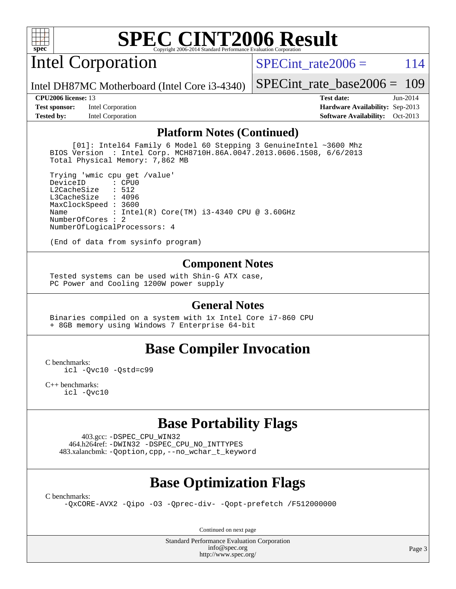

# Intel Corporation

SPECint rate $2006 = 114$ 

Intel DH87MC Motherboard (Intel Core i3-4340)

[SPECint\\_rate\\_base2006 =](http://www.spec.org/auto/cpu2006/Docs/result-fields.html#SPECintratebase2006) 109

**[Test sponsor:](http://www.spec.org/auto/cpu2006/Docs/result-fields.html#Testsponsor)** Intel Corporation **[Hardware Availability:](http://www.spec.org/auto/cpu2006/Docs/result-fields.html#HardwareAvailability)** Sep-2013

**[CPU2006 license:](http://www.spec.org/auto/cpu2006/Docs/result-fields.html#CPU2006license)** 13 **[Test date:](http://www.spec.org/auto/cpu2006/Docs/result-fields.html#Testdate)** Jun-2014 **[Tested by:](http://www.spec.org/auto/cpu2006/Docs/result-fields.html#Testedby)** Intel Corporation **[Software Availability:](http://www.spec.org/auto/cpu2006/Docs/result-fields.html#SoftwareAvailability)** Oct-2013

#### **[Platform Notes \(Continued\)](http://www.spec.org/auto/cpu2006/Docs/result-fields.html#PlatformNotes)**

 [01]: Intel64 Family 6 Model 60 Stepping 3 GenuineIntel ~3600 Mhz BIOS Version : Intel Corp. MCH8710H.86A.0047.2013.0606.1508, 6/6/2013 Total Physical Memory: 7,862 MB

 Trying 'wmic cpu get /value' DeviceID L2CacheSize : 512 L3CacheSize : 4096 MaxClockSpeed : 3600 Name : Intel(R) Core(TM) i3-4340 CPU @ 3.60GHz NumberOfCores : 2 NumberOfLogicalProcessors: 4

(End of data from sysinfo program)

#### **[Component Notes](http://www.spec.org/auto/cpu2006/Docs/result-fields.html#ComponentNotes)**

 Tested systems can be used with Shin-G ATX case, PC Power and Cooling 1200W power supply

#### **[General Notes](http://www.spec.org/auto/cpu2006/Docs/result-fields.html#GeneralNotes)**

 Binaries compiled on a system with 1x Intel Core i7-860 CPU + 8GB memory using Windows 7 Enterprise 64-bit

#### **[Base Compiler Invocation](http://www.spec.org/auto/cpu2006/Docs/result-fields.html#BaseCompilerInvocation)**

[C benchmarks](http://www.spec.org/auto/cpu2006/Docs/result-fields.html#Cbenchmarks):

[icl -Qvc10](http://www.spec.org/cpu2006/results/res2014q3/cpu2006-20140715-30450.flags.html#user_CCbase_intel_icc_vc10_9607f3ecbcdf68042245f068e51b40c1) [-Qstd=c99](http://www.spec.org/cpu2006/results/res2014q3/cpu2006-20140715-30450.flags.html#user_CCbase_intel_compiler_c99_mode_1a3d110e3041b3ad4466830521bdad2a)

[C++ benchmarks:](http://www.spec.org/auto/cpu2006/Docs/result-fields.html#CXXbenchmarks) [icl -Qvc10](http://www.spec.org/cpu2006/results/res2014q3/cpu2006-20140715-30450.flags.html#user_CXXbase_intel_icc_vc10_9607f3ecbcdf68042245f068e51b40c1)

### **[Base Portability Flags](http://www.spec.org/auto/cpu2006/Docs/result-fields.html#BasePortabilityFlags)**

 403.gcc: [-DSPEC\\_CPU\\_WIN32](http://www.spec.org/cpu2006/results/res2014q3/cpu2006-20140715-30450.flags.html#b403.gcc_baseCPORTABILITY_DSPEC_CPU_WIN32) 464.h264ref: [-DWIN32](http://www.spec.org/cpu2006/results/res2014q3/cpu2006-20140715-30450.flags.html#b464.h264ref_baseCPORTABILITY_DWIN32) [-DSPEC\\_CPU\\_NO\\_INTTYPES](http://www.spec.org/cpu2006/results/res2014q3/cpu2006-20140715-30450.flags.html#b464.h264ref_baseCPORTABILITY_DSPEC_CPU_NO_INTTYPES) 483.xalancbmk: [-Qoption,cpp,--no\\_wchar\\_t\\_keyword](http://www.spec.org/cpu2006/results/res2014q3/cpu2006-20140715-30450.flags.html#user_baseCXXPORTABILITY483_xalancbmk_f-no_wchar_t_keyword_ec0ad4495a16b4e858bfcb29d949d25d)

### **[Base Optimization Flags](http://www.spec.org/auto/cpu2006/Docs/result-fields.html#BaseOptimizationFlags)**

[C benchmarks](http://www.spec.org/auto/cpu2006/Docs/result-fields.html#Cbenchmarks):

[-QxCORE-AVX2](http://www.spec.org/cpu2006/results/res2014q3/cpu2006-20140715-30450.flags.html#user_CCbase_f-QxAVX2_f98716b5f9e905f99c943c56f21bf430) [-Qipo](http://www.spec.org/cpu2006/results/res2014q3/cpu2006-20140715-30450.flags.html#user_CCbase_f-Qipo) [-O3](http://www.spec.org/cpu2006/results/res2014q3/cpu2006-20140715-30450.flags.html#user_CCbase_f-O3) [-Qprec-div-](http://www.spec.org/cpu2006/results/res2014q3/cpu2006-20140715-30450.flags.html#user_CCbase_f-Qprec-div-) [-Qopt-prefetch](http://www.spec.org/cpu2006/results/res2014q3/cpu2006-20140715-30450.flags.html#user_CCbase_f-Qprefetch_37c211608666b9dff9380561f602f0a8) [/F512000000](http://www.spec.org/cpu2006/results/res2014q3/cpu2006-20140715-30450.flags.html#user_CCbase_set_stack_space_98438a10eb60aa5f35f4c79d9b9b27b1)

Continued on next page

Standard Performance Evaluation Corporation [info@spec.org](mailto:info@spec.org) <http://www.spec.org/>

Page 3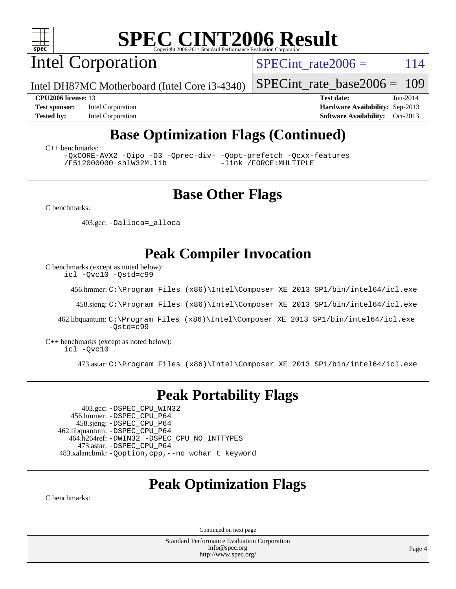

Intel Corporation

SPECint rate $2006 = 114$ 

Intel DH87MC Motherboard (Intel Core i3-4340)

[SPECint\\_rate\\_base2006 =](http://www.spec.org/auto/cpu2006/Docs/result-fields.html#SPECintratebase2006) 109

**[Test sponsor:](http://www.spec.org/auto/cpu2006/Docs/result-fields.html#Testsponsor)** Intel Corporation **[Hardware Availability:](http://www.spec.org/auto/cpu2006/Docs/result-fields.html#HardwareAvailability)** Sep-2013

**[CPU2006 license:](http://www.spec.org/auto/cpu2006/Docs/result-fields.html#CPU2006license)** 13 **[Test date:](http://www.spec.org/auto/cpu2006/Docs/result-fields.html#Testdate)** Jun-2014 **[Tested by:](http://www.spec.org/auto/cpu2006/Docs/result-fields.html#Testedby)** Intel Corporation **[Software Availability:](http://www.spec.org/auto/cpu2006/Docs/result-fields.html#SoftwareAvailability)** Oct-2013

# **[Base Optimization Flags \(Continued\)](http://www.spec.org/auto/cpu2006/Docs/result-fields.html#BaseOptimizationFlags)**

[C++ benchmarks:](http://www.spec.org/auto/cpu2006/Docs/result-fields.html#CXXbenchmarks)

[-QxCORE-AVX2](http://www.spec.org/cpu2006/results/res2014q3/cpu2006-20140715-30450.flags.html#user_CXXbase_f-QxAVX2_f98716b5f9e905f99c943c56f21bf430) [-Qipo](http://www.spec.org/cpu2006/results/res2014q3/cpu2006-20140715-30450.flags.html#user_CXXbase_f-Qipo) [-O3](http://www.spec.org/cpu2006/results/res2014q3/cpu2006-20140715-30450.flags.html#user_CXXbase_f-O3) [-Qprec-div-](http://www.spec.org/cpu2006/results/res2014q3/cpu2006-20140715-30450.flags.html#user_CXXbase_f-Qprec-div-) [-Qopt-prefetch](http://www.spec.org/cpu2006/results/res2014q3/cpu2006-20140715-30450.flags.html#user_CXXbase_f-Qprefetch_37c211608666b9dff9380561f602f0a8) [-Qcxx-features](http://www.spec.org/cpu2006/results/res2014q3/cpu2006-20140715-30450.flags.html#user_CXXbase_f-Qcxx_features_dbf36c8a6dba956e22f1645e4dcd4d98) [/F512000000](http://www.spec.org/cpu2006/results/res2014q3/cpu2006-20140715-30450.flags.html#user_CXXbase_set_stack_space_98438a10eb60aa5f35f4c79d9b9b27b1) [shlW32M.lib](http://www.spec.org/cpu2006/results/res2014q3/cpu2006-20140715-30450.flags.html#user_CXXbase_SmartHeap32_d106338dfda1a055705c9b519e07f096)

### **[Base Other Flags](http://www.spec.org/auto/cpu2006/Docs/result-fields.html#BaseOtherFlags)**

[C benchmarks](http://www.spec.org/auto/cpu2006/Docs/result-fields.html#Cbenchmarks):

403.gcc: [-Dalloca=\\_alloca](http://www.spec.org/cpu2006/results/res2014q3/cpu2006-20140715-30450.flags.html#b403.gcc_baseEXTRA_CFLAGS_Dalloca_be3056838c12de2578596ca5467af7f3)

### **[Peak Compiler Invocation](http://www.spec.org/auto/cpu2006/Docs/result-fields.html#PeakCompilerInvocation)**

[C benchmarks \(except as noted below\)](http://www.spec.org/auto/cpu2006/Docs/result-fields.html#Cbenchmarksexceptasnotedbelow):

[icl -Qvc10](http://www.spec.org/cpu2006/results/res2014q3/cpu2006-20140715-30450.flags.html#user_CCpeak_intel_icc_vc10_9607f3ecbcdf68042245f068e51b40c1) [-Qstd=c99](http://www.spec.org/cpu2006/results/res2014q3/cpu2006-20140715-30450.flags.html#user_CCpeak_intel_compiler_c99_mode_1a3d110e3041b3ad4466830521bdad2a)

456.hmmer: [C:\Program Files \(x86\)\Intel\Composer XE 2013 SP1/bin/intel64/icl.exe](http://www.spec.org/cpu2006/results/res2014q3/cpu2006-20140715-30450.flags.html#user_peakCCLD456_hmmer_intel_icc_64bit_f549ed431576093dccb075b890b96ee2)

458.sjeng: [C:\Program Files \(x86\)\Intel\Composer XE 2013 SP1/bin/intel64/icl.exe](http://www.spec.org/cpu2006/results/res2014q3/cpu2006-20140715-30450.flags.html#user_peakCCLD458_sjeng_intel_icc_64bit_f549ed431576093dccb075b890b96ee2)

 462.libquantum: [C:\Program Files \(x86\)\Intel\Composer XE 2013 SP1/bin/intel64/icl.exe](http://www.spec.org/cpu2006/results/res2014q3/cpu2006-20140715-30450.flags.html#user_peakCCLD462_libquantum_intel_icc_64bit_f549ed431576093dccb075b890b96ee2) [-Qstd=c99](http://www.spec.org/cpu2006/results/res2014q3/cpu2006-20140715-30450.flags.html#user_peakCCLD462_libquantum_intel_compiler_c99_mode_1a3d110e3041b3ad4466830521bdad2a)

[C++ benchmarks \(except as noted below\):](http://www.spec.org/auto/cpu2006/Docs/result-fields.html#CXXbenchmarksexceptasnotedbelow) [icl -Qvc10](http://www.spec.org/cpu2006/results/res2014q3/cpu2006-20140715-30450.flags.html#user_CXXpeak_intel_icc_vc10_9607f3ecbcdf68042245f068e51b40c1)

473.astar: [C:\Program Files \(x86\)\Intel\Composer XE 2013 SP1/bin/intel64/icl.exe](http://www.spec.org/cpu2006/results/res2014q3/cpu2006-20140715-30450.flags.html#user_peakCXXLD473_astar_intel_icc_64bit_f549ed431576093dccb075b890b96ee2)

### **[Peak Portability Flags](http://www.spec.org/auto/cpu2006/Docs/result-fields.html#PeakPortabilityFlags)**

 403.gcc: [-DSPEC\\_CPU\\_WIN32](http://www.spec.org/cpu2006/results/res2014q3/cpu2006-20140715-30450.flags.html#b403.gcc_peakCPORTABILITY_DSPEC_CPU_WIN32) 456.hmmer: [-DSPEC\\_CPU\\_P64](http://www.spec.org/cpu2006/results/res2014q3/cpu2006-20140715-30450.flags.html#suite_peakPORTABILITY456_hmmer_DSPEC_CPU_P64) 458.sjeng: [-DSPEC\\_CPU\\_P64](http://www.spec.org/cpu2006/results/res2014q3/cpu2006-20140715-30450.flags.html#suite_peakPORTABILITY458_sjeng_DSPEC_CPU_P64) 462.libquantum: [-DSPEC\\_CPU\\_P64](http://www.spec.org/cpu2006/results/res2014q3/cpu2006-20140715-30450.flags.html#suite_peakPORTABILITY462_libquantum_DSPEC_CPU_P64) 464.h264ref: [-DWIN32](http://www.spec.org/cpu2006/results/res2014q3/cpu2006-20140715-30450.flags.html#b464.h264ref_peakCPORTABILITY_DWIN32) [-DSPEC\\_CPU\\_NO\\_INTTYPES](http://www.spec.org/cpu2006/results/res2014q3/cpu2006-20140715-30450.flags.html#b464.h264ref_peakCPORTABILITY_DSPEC_CPU_NO_INTTYPES) 473.astar: [-DSPEC\\_CPU\\_P64](http://www.spec.org/cpu2006/results/res2014q3/cpu2006-20140715-30450.flags.html#suite_peakPORTABILITY473_astar_DSPEC_CPU_P64) 483.xalancbmk: [-Qoption,cpp,--no\\_wchar\\_t\\_keyword](http://www.spec.org/cpu2006/results/res2014q3/cpu2006-20140715-30450.flags.html#user_peakCXXPORTABILITY483_xalancbmk_f-no_wchar_t_keyword_ec0ad4495a16b4e858bfcb29d949d25d)

## **[Peak Optimization Flags](http://www.spec.org/auto/cpu2006/Docs/result-fields.html#PeakOptimizationFlags)**

[C benchmarks](http://www.spec.org/auto/cpu2006/Docs/result-fields.html#Cbenchmarks):

Continued on next page

Standard Performance Evaluation Corporation [info@spec.org](mailto:info@spec.org) <http://www.spec.org/>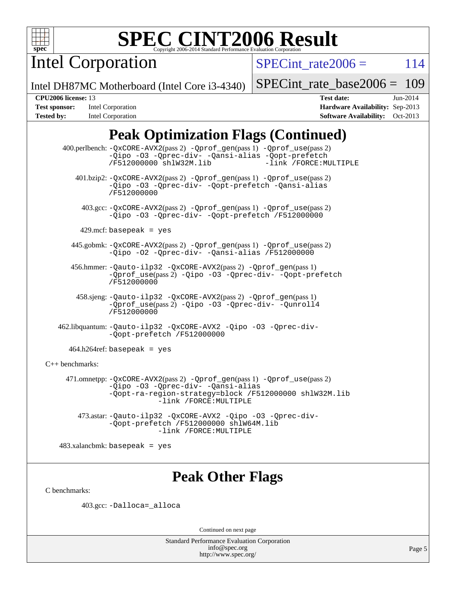

Intel Corporation

SPECint rate $2006 = 114$ 

Intel DH87MC Motherboard (Intel Core i3-4340)

[SPECint\\_rate\\_base2006 =](http://www.spec.org/auto/cpu2006/Docs/result-fields.html#SPECintratebase2006) 109

**[Tested by:](http://www.spec.org/auto/cpu2006/Docs/result-fields.html#Testedby)** Intel Corporation **[Software Availability:](http://www.spec.org/auto/cpu2006/Docs/result-fields.html#SoftwareAvailability)** Oct-2013

**[CPU2006 license:](http://www.spec.org/auto/cpu2006/Docs/result-fields.html#CPU2006license)** 13 **[Test date:](http://www.spec.org/auto/cpu2006/Docs/result-fields.html#Testdate)** Jun-2014 **[Test sponsor:](http://www.spec.org/auto/cpu2006/Docs/result-fields.html#Testsponsor)** Intel Corporation **[Hardware Availability:](http://www.spec.org/auto/cpu2006/Docs/result-fields.html#HardwareAvailability)** Sep-2013

# **[Peak Optimization Flags \(Continued\)](http://www.spec.org/auto/cpu2006/Docs/result-fields.html#PeakOptimizationFlags)**

 400.perlbench: [-QxCORE-AVX2](http://www.spec.org/cpu2006/results/res2014q3/cpu2006-20140715-30450.flags.html#user_peakPASS2_CFLAGSPASS2_LDFLAGS400_perlbench_f-QxAVX2_f98716b5f9e905f99c943c56f21bf430)(pass 2) [-Qprof\\_gen](http://www.spec.org/cpu2006/results/res2014q3/cpu2006-20140715-30450.flags.html#user_peakPASS1_CFLAGSPASS1_LDFLAGS400_perlbench_Qprof_gen)(pass 1) [-Qprof\\_use](http://www.spec.org/cpu2006/results/res2014q3/cpu2006-20140715-30450.flags.html#user_peakPASS2_CFLAGSPASS2_LDFLAGS400_perlbench_Qprof_use)(pass 2) [-Qipo](http://www.spec.org/cpu2006/results/res2014q3/cpu2006-20140715-30450.flags.html#user_peakOPTIMIZE400_perlbench_f-Qipo) [-O3](http://www.spec.org/cpu2006/results/res2014q3/cpu2006-20140715-30450.flags.html#user_peakOPTIMIZE400_perlbench_f-O3) [-Qprec-div-](http://www.spec.org/cpu2006/results/res2014q3/cpu2006-20140715-30450.flags.html#user_peakOPTIMIZE400_perlbench_f-Qprec-div-) [-Qansi-alias](http://www.spec.org/cpu2006/results/res2014q3/cpu2006-20140715-30450.flags.html#user_peakOPTIMIZE400_perlbench_f-Qansi-alias) [-Qopt-prefetch](http://www.spec.org/cpu2006/results/res2014q3/cpu2006-20140715-30450.flags.html#user_peakOPTIMIZE400_perlbench_f-Qprefetch_37c211608666b9dff9380561f602f0a8) [/F512000000](http://www.spec.org/cpu2006/results/res2014q3/cpu2006-20140715-30450.flags.html#user_peakEXTRA_LDFLAGS400_perlbench_set_stack_space_98438a10eb60aa5f35f4c79d9b9b27b1) [shlW32M.lib](http://www.spec.org/cpu2006/results/res2014q3/cpu2006-20140715-30450.flags.html#user_peakEXTRA_LIBS400_perlbench_SmartHeap32_d106338dfda1a055705c9b519e07f096) 401.bzip2: [-QxCORE-AVX2](http://www.spec.org/cpu2006/results/res2014q3/cpu2006-20140715-30450.flags.html#user_peakPASS2_CFLAGSPASS2_LDFLAGS401_bzip2_f-QxAVX2_f98716b5f9e905f99c943c56f21bf430)(pass 2) [-Qprof\\_gen](http://www.spec.org/cpu2006/results/res2014q3/cpu2006-20140715-30450.flags.html#user_peakPASS1_CFLAGSPASS1_LDFLAGS401_bzip2_Qprof_gen)(pass 1) [-Qprof\\_use](http://www.spec.org/cpu2006/results/res2014q3/cpu2006-20140715-30450.flags.html#user_peakPASS2_CFLAGSPASS2_LDFLAGS401_bzip2_Qprof_use)(pass 2) [-Qipo](http://www.spec.org/cpu2006/results/res2014q3/cpu2006-20140715-30450.flags.html#user_peakOPTIMIZE401_bzip2_f-Qipo) [-O3](http://www.spec.org/cpu2006/results/res2014q3/cpu2006-20140715-30450.flags.html#user_peakOPTIMIZE401_bzip2_f-O3) [-Qprec-div-](http://www.spec.org/cpu2006/results/res2014q3/cpu2006-20140715-30450.flags.html#user_peakOPTIMIZE401_bzip2_f-Qprec-div-) [-Qopt-prefetch](http://www.spec.org/cpu2006/results/res2014q3/cpu2006-20140715-30450.flags.html#user_peakOPTIMIZE401_bzip2_f-Qprefetch_37c211608666b9dff9380561f602f0a8) [-Qansi-alias](http://www.spec.org/cpu2006/results/res2014q3/cpu2006-20140715-30450.flags.html#user_peakOPTIMIZE401_bzip2_f-Qansi-alias) [/F512000000](http://www.spec.org/cpu2006/results/res2014q3/cpu2006-20140715-30450.flags.html#user_peakEXTRA_LDFLAGS401_bzip2_set_stack_space_98438a10eb60aa5f35f4c79d9b9b27b1) 403.gcc: [-QxCORE-AVX2](http://www.spec.org/cpu2006/results/res2014q3/cpu2006-20140715-30450.flags.html#user_peakPASS2_CFLAGSPASS2_LDFLAGS403_gcc_f-QxAVX2_f98716b5f9e905f99c943c56f21bf430)(pass 2) [-Qprof\\_gen](http://www.spec.org/cpu2006/results/res2014q3/cpu2006-20140715-30450.flags.html#user_peakPASS1_CFLAGSPASS1_LDFLAGS403_gcc_Qprof_gen)(pass 1) [-Qprof\\_use](http://www.spec.org/cpu2006/results/res2014q3/cpu2006-20140715-30450.flags.html#user_peakPASS2_CFLAGSPASS2_LDFLAGS403_gcc_Qprof_use)(pass 2) [-Qipo](http://www.spec.org/cpu2006/results/res2014q3/cpu2006-20140715-30450.flags.html#user_peakOPTIMIZE403_gcc_f-Qipo) [-O3](http://www.spec.org/cpu2006/results/res2014q3/cpu2006-20140715-30450.flags.html#user_peakOPTIMIZE403_gcc_f-O3) [-Qprec-div-](http://www.spec.org/cpu2006/results/res2014q3/cpu2006-20140715-30450.flags.html#user_peakOPTIMIZE403_gcc_f-Qprec-div-) [-Qopt-prefetch](http://www.spec.org/cpu2006/results/res2014q3/cpu2006-20140715-30450.flags.html#user_peakOPTIMIZE403_gcc_f-Qprefetch_37c211608666b9dff9380561f602f0a8) [/F512000000](http://www.spec.org/cpu2006/results/res2014q3/cpu2006-20140715-30450.flags.html#user_peakEXTRA_LDFLAGS403_gcc_set_stack_space_98438a10eb60aa5f35f4c79d9b9b27b1)  $429$ .mcf: basepeak = yes 445.gobmk: [-QxCORE-AVX2](http://www.spec.org/cpu2006/results/res2014q3/cpu2006-20140715-30450.flags.html#user_peakPASS2_CFLAGSPASS2_LDFLAGS445_gobmk_f-QxAVX2_f98716b5f9e905f99c943c56f21bf430)(pass 2) [-Qprof\\_gen](http://www.spec.org/cpu2006/results/res2014q3/cpu2006-20140715-30450.flags.html#user_peakPASS1_CFLAGSPASS1_LDFLAGS445_gobmk_Qprof_gen)(pass 1) [-Qprof\\_use](http://www.spec.org/cpu2006/results/res2014q3/cpu2006-20140715-30450.flags.html#user_peakPASS2_CFLAGSPASS2_LDFLAGS445_gobmk_Qprof_use)(pass 2) [-Qipo](http://www.spec.org/cpu2006/results/res2014q3/cpu2006-20140715-30450.flags.html#user_peakOPTIMIZE445_gobmk_f-Qipo) [-O2](http://www.spec.org/cpu2006/results/res2014q3/cpu2006-20140715-30450.flags.html#user_peakOPTIMIZE445_gobmk_f-O2) [-Qprec-div-](http://www.spec.org/cpu2006/results/res2014q3/cpu2006-20140715-30450.flags.html#user_peakOPTIMIZE445_gobmk_f-Qprec-div-) [-Qansi-alias](http://www.spec.org/cpu2006/results/res2014q3/cpu2006-20140715-30450.flags.html#user_peakOPTIMIZE445_gobmk_f-Qansi-alias) [/F512000000](http://www.spec.org/cpu2006/results/res2014q3/cpu2006-20140715-30450.flags.html#user_peakEXTRA_LDFLAGS445_gobmk_set_stack_space_98438a10eb60aa5f35f4c79d9b9b27b1) 456.hmmer: [-Qauto-ilp32](http://www.spec.org/cpu2006/results/res2014q3/cpu2006-20140715-30450.flags.html#user_peakCCLD456_hmmer_f-Qauto-ilp32) [-QxCORE-AVX2](http://www.spec.org/cpu2006/results/res2014q3/cpu2006-20140715-30450.flags.html#user_peakPASS2_CFLAGSPASS2_LDFLAGS456_hmmer_f-QxAVX2_f98716b5f9e905f99c943c56f21bf430)(pass 2) [-Qprof\\_gen](http://www.spec.org/cpu2006/results/res2014q3/cpu2006-20140715-30450.flags.html#user_peakPASS1_CFLAGSPASS1_LDFLAGS456_hmmer_Qprof_gen)(pass 1) [-Qprof\\_use](http://www.spec.org/cpu2006/results/res2014q3/cpu2006-20140715-30450.flags.html#user_peakPASS2_CFLAGSPASS2_LDFLAGS456_hmmer_Qprof_use)(pass 2) [-Qipo](http://www.spec.org/cpu2006/results/res2014q3/cpu2006-20140715-30450.flags.html#user_peakOPTIMIZE456_hmmer_f-Qipo) [-O3](http://www.spec.org/cpu2006/results/res2014q3/cpu2006-20140715-30450.flags.html#user_peakOPTIMIZE456_hmmer_f-O3) [-Qprec-div-](http://www.spec.org/cpu2006/results/res2014q3/cpu2006-20140715-30450.flags.html#user_peakOPTIMIZE456_hmmer_f-Qprec-div-) [-Qopt-prefetch](http://www.spec.org/cpu2006/results/res2014q3/cpu2006-20140715-30450.flags.html#user_peakOPTIMIZE456_hmmer_f-Qprefetch_37c211608666b9dff9380561f602f0a8) [/F512000000](http://www.spec.org/cpu2006/results/res2014q3/cpu2006-20140715-30450.flags.html#user_peakEXTRA_LDFLAGS456_hmmer_set_stack_space_98438a10eb60aa5f35f4c79d9b9b27b1) 458.sjeng: [-Qauto-ilp32](http://www.spec.org/cpu2006/results/res2014q3/cpu2006-20140715-30450.flags.html#user_peakCCLD458_sjeng_f-Qauto-ilp32) [-QxCORE-AVX2](http://www.spec.org/cpu2006/results/res2014q3/cpu2006-20140715-30450.flags.html#user_peakPASS2_CFLAGSPASS2_LDFLAGS458_sjeng_f-QxAVX2_f98716b5f9e905f99c943c56f21bf430)(pass 2) [-Qprof\\_gen](http://www.spec.org/cpu2006/results/res2014q3/cpu2006-20140715-30450.flags.html#user_peakPASS1_CFLAGSPASS1_LDFLAGS458_sjeng_Qprof_gen)(pass 1) [-Qprof\\_use](http://www.spec.org/cpu2006/results/res2014q3/cpu2006-20140715-30450.flags.html#user_peakPASS2_CFLAGSPASS2_LDFLAGS458_sjeng_Qprof_use)(pass 2) [-Qipo](http://www.spec.org/cpu2006/results/res2014q3/cpu2006-20140715-30450.flags.html#user_peakOPTIMIZE458_sjeng_f-Qipo) [-O3](http://www.spec.org/cpu2006/results/res2014q3/cpu2006-20140715-30450.flags.html#user_peakOPTIMIZE458_sjeng_f-O3) [-Qprec-div-](http://www.spec.org/cpu2006/results/res2014q3/cpu2006-20140715-30450.flags.html#user_peakOPTIMIZE458_sjeng_f-Qprec-div-) [-Qunroll4](http://www.spec.org/cpu2006/results/res2014q3/cpu2006-20140715-30450.flags.html#user_peakOPTIMIZE458_sjeng_f-Qunroll_013b1c0ea3aa84ef2c65e488bcc3d968) [/F512000000](http://www.spec.org/cpu2006/results/res2014q3/cpu2006-20140715-30450.flags.html#user_peakEXTRA_LDFLAGS458_sjeng_set_stack_space_98438a10eb60aa5f35f4c79d9b9b27b1) 462.libquantum: [-Qauto-ilp32](http://www.spec.org/cpu2006/results/res2014q3/cpu2006-20140715-30450.flags.html#user_peakCCLD462_libquantum_f-Qauto-ilp32) [-QxCORE-AVX2](http://www.spec.org/cpu2006/results/res2014q3/cpu2006-20140715-30450.flags.html#user_peakOPTIMIZE462_libquantum_f-QxAVX2_f98716b5f9e905f99c943c56f21bf430) [-Qipo](http://www.spec.org/cpu2006/results/res2014q3/cpu2006-20140715-30450.flags.html#user_peakOPTIMIZE462_libquantum_f-Qipo) [-O3](http://www.spec.org/cpu2006/results/res2014q3/cpu2006-20140715-30450.flags.html#user_peakOPTIMIZE462_libquantum_f-O3) [-Qprec-div-](http://www.spec.org/cpu2006/results/res2014q3/cpu2006-20140715-30450.flags.html#user_peakOPTIMIZE462_libquantum_f-Qprec-div-) [-Qopt-prefetch](http://www.spec.org/cpu2006/results/res2014q3/cpu2006-20140715-30450.flags.html#user_peakOPTIMIZE462_libquantum_f-Qprefetch_37c211608666b9dff9380561f602f0a8) [/F512000000](http://www.spec.org/cpu2006/results/res2014q3/cpu2006-20140715-30450.flags.html#user_peakEXTRA_LDFLAGS462_libquantum_set_stack_space_98438a10eb60aa5f35f4c79d9b9b27b1)  $464.h264$ ref: basepeak = yes [C++ benchmarks:](http://www.spec.org/auto/cpu2006/Docs/result-fields.html#CXXbenchmarks) 471.omnetpp: [-QxCORE-AVX2](http://www.spec.org/cpu2006/results/res2014q3/cpu2006-20140715-30450.flags.html#user_peakPASS2_CXXFLAGSPASS2_LDFLAGS471_omnetpp_f-QxAVX2_f98716b5f9e905f99c943c56f21bf430)(pass 2) [-Qprof\\_gen](http://www.spec.org/cpu2006/results/res2014q3/cpu2006-20140715-30450.flags.html#user_peakPASS1_CXXFLAGSPASS1_LDFLAGS471_omnetpp_Qprof_gen)(pass 1) [-Qprof\\_use](http://www.spec.org/cpu2006/results/res2014q3/cpu2006-20140715-30450.flags.html#user_peakPASS2_CXXFLAGSPASS2_LDFLAGS471_omnetpp_Qprof_use)(pass 2) [-Qipo](http://www.spec.org/cpu2006/results/res2014q3/cpu2006-20140715-30450.flags.html#user_peakOPTIMIZE471_omnetpp_f-Qipo) [-O3](http://www.spec.org/cpu2006/results/res2014q3/cpu2006-20140715-30450.flags.html#user_peakOPTIMIZE471_omnetpp_f-O3) [-Qprec-div-](http://www.spec.org/cpu2006/results/res2014q3/cpu2006-20140715-30450.flags.html#user_peakOPTIMIZE471_omnetpp_f-Qprec-div-) [-Qansi-alias](http://www.spec.org/cpu2006/results/res2014q3/cpu2006-20140715-30450.flags.html#user_peakOPTIMIZE471_omnetpp_f-Qansi-alias) [-Qopt-ra-region-strategy=block](http://www.spec.org/cpu2006/results/res2014q3/cpu2006-20140715-30450.flags.html#user_peakOPTIMIZE471_omnetpp_f-Qopt-ra-region-strategy_d2240e80a5d9053a1fd400255dbf4159) [/F512000000](http://www.spec.org/cpu2006/results/res2014q3/cpu2006-20140715-30450.flags.html#user_peakEXTRA_LDFLAGS471_omnetpp_set_stack_space_98438a10eb60aa5f35f4c79d9b9b27b1) [shlW32M.lib](http://www.spec.org/cpu2006/results/res2014q3/cpu2006-20140715-30450.flags.html#user_peakEXTRA_LIBS471_omnetpp_SmartHeap32_d106338dfda1a055705c9b519e07f096)  [-link /FORCE:MULTIPLE](http://www.spec.org/cpu2006/results/res2014q3/cpu2006-20140715-30450.flags.html#user_peakLDOUT471_omnetpp_link_force_multiple2_070fe330869edf77077b841074b8b0b6) 473.astar: [-Qauto-ilp32](http://www.spec.org/cpu2006/results/res2014q3/cpu2006-20140715-30450.flags.html#user_peakCXXLD473_astar_f-Qauto-ilp32) [-QxCORE-AVX2](http://www.spec.org/cpu2006/results/res2014q3/cpu2006-20140715-30450.flags.html#user_peakOPTIMIZE473_astar_f-QxAVX2_f98716b5f9e905f99c943c56f21bf430) [-Qipo](http://www.spec.org/cpu2006/results/res2014q3/cpu2006-20140715-30450.flags.html#user_peakOPTIMIZE473_astar_f-Qipo) [-O3](http://www.spec.org/cpu2006/results/res2014q3/cpu2006-20140715-30450.flags.html#user_peakOPTIMIZE473_astar_f-O3) [-Qprec-div-](http://www.spec.org/cpu2006/results/res2014q3/cpu2006-20140715-30450.flags.html#user_peakOPTIMIZE473_astar_f-Qprec-div-) [-Qopt-prefetch](http://www.spec.org/cpu2006/results/res2014q3/cpu2006-20140715-30450.flags.html#user_peakOPTIMIZE473_astar_f-Qprefetch_37c211608666b9dff9380561f602f0a8) [/F512000000](http://www.spec.org/cpu2006/results/res2014q3/cpu2006-20140715-30450.flags.html#user_peakEXTRA_LDFLAGS473_astar_set_stack_space_98438a10eb60aa5f35f4c79d9b9b27b1) [shlW64M.lib](http://www.spec.org/cpu2006/results/res2014q3/cpu2006-20140715-30450.flags.html#user_peakEXTRA_LIBS473_astar_SmartHeap64_c4f7f76711bdf8c0633a5c1edf6e5396)  [-link /FORCE:MULTIPLE](http://www.spec.org/cpu2006/results/res2014q3/cpu2006-20140715-30450.flags.html#user_peakLDOUT473_astar_link_force_multiple2_070fe330869edf77077b841074b8b0b6)

483.xalancbmk: basepeak = yes

### **[Peak Other Flags](http://www.spec.org/auto/cpu2006/Docs/result-fields.html#PeakOtherFlags)**

[C benchmarks](http://www.spec.org/auto/cpu2006/Docs/result-fields.html#Cbenchmarks):

403.gcc: [-Dalloca=\\_alloca](http://www.spec.org/cpu2006/results/res2014q3/cpu2006-20140715-30450.flags.html#b403.gcc_peakEXTRA_CFLAGS_Dalloca_be3056838c12de2578596ca5467af7f3)

Continued on next page

Standard Performance Evaluation Corporation [info@spec.org](mailto:info@spec.org) <http://www.spec.org/>